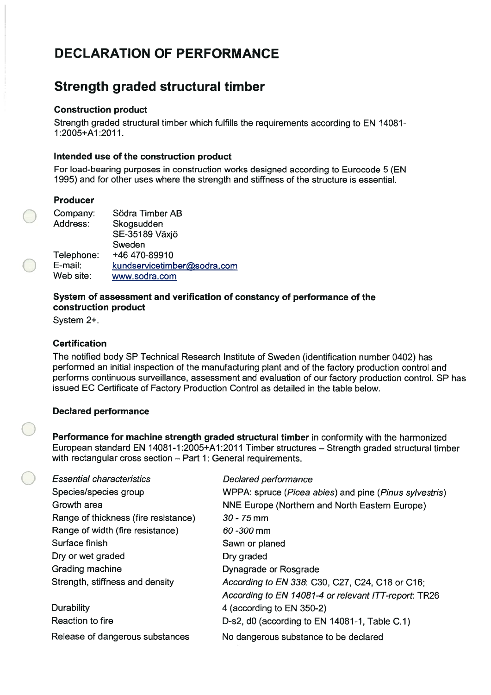# DECLARATION OF PERFORMANCE

# Strength graded structural timber

#### Construction product

Strength graded structural timberwhich fulfills the requirements according to EN 14081- 1 :2005+A1 :2011.

#### Intended use of the construction product

For load-bearing purposes in construction works designed according to Eurocode 5 (EN 1995) and for other uses where the strength and stiffness of the structure is essential.

#### Producer

| Company:<br>Address:               | Södra Timber AB<br>Skogsudden<br>SE-35189 Växjö                         |
|------------------------------------|-------------------------------------------------------------------------|
| Telephone:<br>E-mail:<br>Web site: | Sweden<br>+46 470-89910<br>kundservicetimber@sodra.com<br>www.sodra.com |

#### System of assessment and verification of constancy of performance of the construction product

System 2+.

## Certification

The notified body SP Technical Research Institute of Sweden (identification number 0402) has performed an initial inspection of the manufacturing plant and of the factory production control and performs continuous surveillance, assessment and evaluation of our factory production control. SP has issued EC Certificate of Factory Production Control as detailed in the table below.

### Declared performance

Performance for machine strength graded structural timber in conformity with the harmonized European standard EN 14081-1 :2005+A1:2011 Timber structures — Strength graded structural timber with rectangular cross section — Part 1: General requirements.

| <b>Essential characteristics</b>     | Declared performance                                   |
|--------------------------------------|--------------------------------------------------------|
| Species/species group                | WPPA: spruce (Picea abies) and pine (Pinus sylvestris) |
| Growth area                          | NNE Europe (Northern and North Eastern Europe)         |
| Range of thickness (fire resistance) | $30 - 75$ mm                                           |
| Range of width (fire resistance)     | $60 - 300$ mm                                          |
| Surface finish                       | Sawn or planed                                         |
| Dry or wet graded                    | Dry graded                                             |
| Grading machine                      | Dynagrade or Rosgrade                                  |
| Strength, stiffness and density      | According to EN 338: C30, C27, C24, C18 or C16;        |
|                                      | According to EN 14081-4 or relevant ITT-report: TR26   |
| <b>Durability</b>                    | 4 (according to EN 350-2)                              |
| Reaction to fire                     | D-s2, d0 (according to EN 14081-1, Table C.1)          |
| Release of dangerous substances      | No dangerous substance to be declared                  |
|                                      |                                                        |